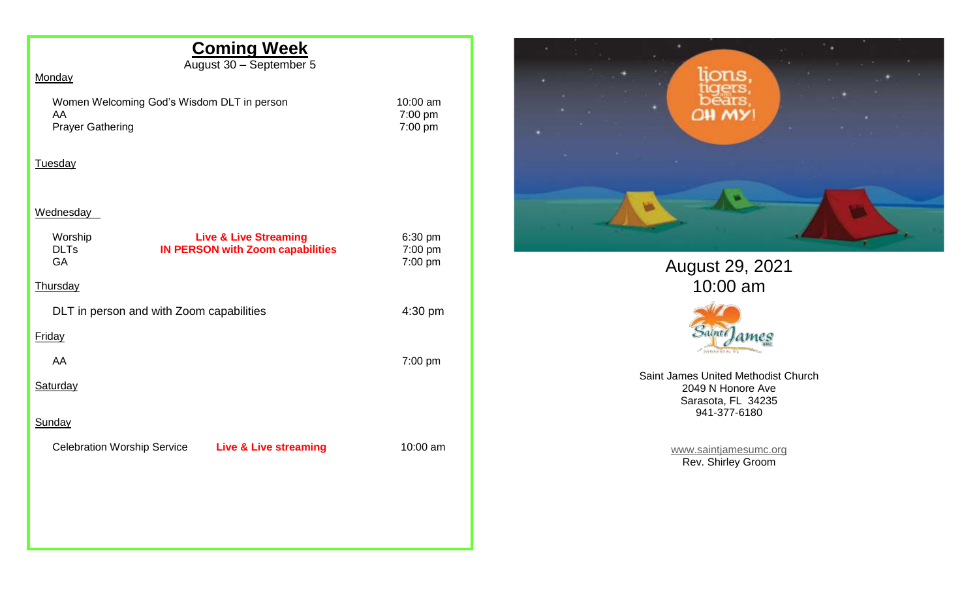# **Coming Week**

August 30 – September 5

### **Monday**

Women Welcoming God's Wisdom DLT in person 10:00 am<br>AA 7:00 pm Prayer Gathering

7:00 pm<br>7:00 pm

### Tuesday

#### Wednesday

| Worship<br><b>DLTs</b><br>GA       | <b>Live &amp; Live Streaming</b><br><b>IN PERSON with Zoom capabilities</b> | 6:30 pm<br>7:00 pm<br>7:00 pm |
|------------------------------------|-----------------------------------------------------------------------------|-------------------------------|
| Thursday                           |                                                                             |                               |
|                                    | DLT in person and with Zoom capabilities                                    | 4:30 pm                       |
| <b>Friday</b>                      |                                                                             |                               |
| AA                                 |                                                                             | 7:00 pm                       |
| Saturday                           |                                                                             |                               |
| Sunday                             |                                                                             |                               |
| <b>Celebration Worship Service</b> | <b>Live &amp; Live streaming</b>                                            | 10:00 am                      |
|                                    |                                                                             |                               |
|                                    |                                                                             |                               |
|                                    |                                                                             |                               |
|                                    |                                                                             |                               |



# August 29, 2021 10:00 am



Saint James United Methodist Church 2049 N Honore Ave Sarasota, FL 34235 941-377-6180

> [www.saintjamesumc.org](http://www.saintjamesumc.org/) Rev. Shirley Groom